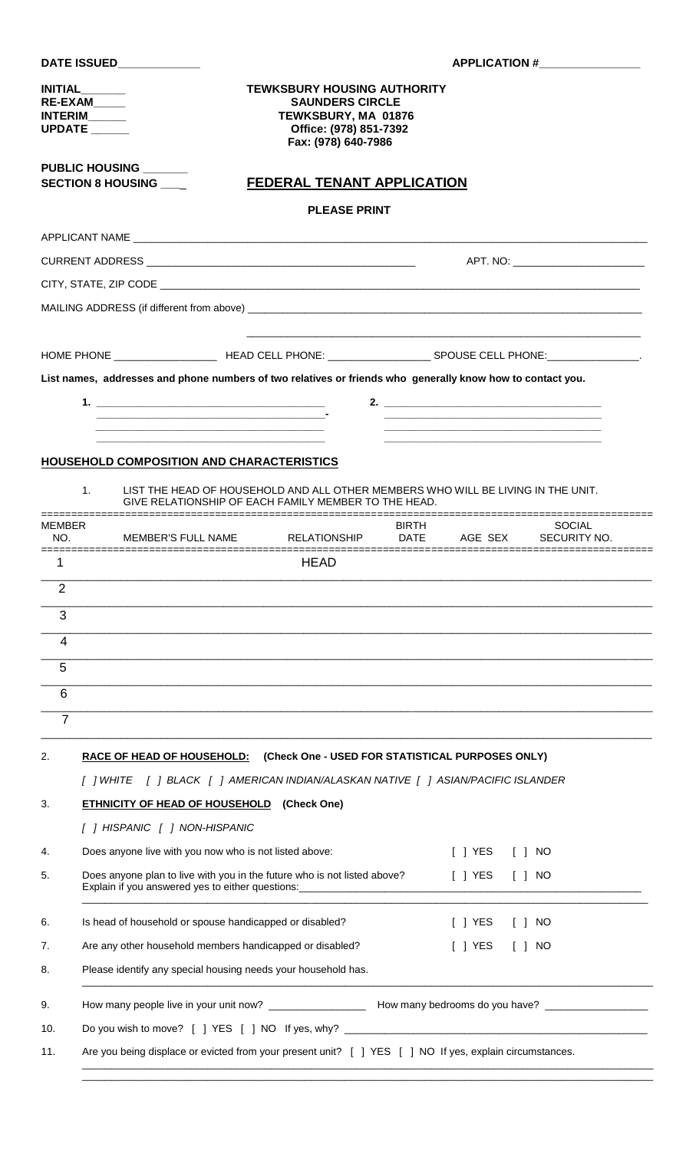### **INITIAL\_\_\_\_\_\_\_ TEWKSBURY HOUSING AUTHORITY RE-EXAM\_\_\_\_\_ SAUNDERS CIRCLE INTERIM\_\_\_\_\_\_ TEWKSBURY, MA 01876 UPDATE \_\_\_\_\_\_ Office: (978) 851-7392 Fax: (978) 640-7986**

**PUBLIC HOUSING \_\_\_\_\_\_\_**

**SECTION 8 HOUSING \_\_\_**\_ **FEDERAL TENANT APPLICATION**

## **PLEASE PRINT**

| HOME PHONE ____________________ | SPOUSE CELL PHONE: ________________. |  |
|---------------------------------|--------------------------------------|--|

**List names, addresses and phone numbers of two relatives or friends who generally know how to contact you.**

|  | _______ |
|--|---------|
|  |         |
|  |         |
|  |         |

## **HOUSEHOLD COMPOSITION AND CHARACTERISTICS**

| NO.            | MEMBER<br>MEMBER'S FULL NAME                                                                                                                                            | <b>RELATIONSHIP</b> | BIRTH<br><b>DATE</b> | AGE SEX   | <b>SOCIAL</b><br>SECURITY NO. |
|----------------|-------------------------------------------------------------------------------------------------------------------------------------------------------------------------|---------------------|----------------------|-----------|-------------------------------|
| --------<br>1  |                                                                                                                                                                         | <b>HEAD</b>         |                      |           |                               |
| $\overline{2}$ |                                                                                                                                                                         |                     |                      |           |                               |
| 3              |                                                                                                                                                                         |                     |                      |           |                               |
| 4              |                                                                                                                                                                         |                     |                      |           |                               |
| 5              |                                                                                                                                                                         |                     |                      |           |                               |
| 6              |                                                                                                                                                                         |                     |                      |           |                               |
| $\overline{7}$ |                                                                                                                                                                         |                     |                      |           |                               |
| 2.             | <b>RACE OF HEAD OF HOUSEHOLD:</b> (Check One - USED FOR STATISTICAL PURPOSES ONLY)<br>[ ] WHITE [ ] BLACK [ ] AMERICAN INDIAN/ALASKAN NATIVE [ ] ASIAN/PACIFIC ISLANDER |                     |                      |           |                               |
| 3.             | <b>ETHNICITY OF HEAD OF HOUSEHOLD</b> (Check One)                                                                                                                       |                     |                      |           |                               |
|                |                                                                                                                                                                         |                     |                      |           |                               |
|                |                                                                                                                                                                         |                     |                      |           |                               |
| 4.             | Does anyone live with you now who is not listed above:                                                                                                                  |                     |                      | $[ ]$ YES | $\lceil$ $\rceil$ NO          |
| 5.             | Does anyone plan to live with you in the future who is not listed above?<br>Explain if you answered yes to either questions:                                            |                     |                      | $[$ ] YES | $\lceil$ $\rceil$ NO          |
| 6.             | Is head of household or spouse handicapped or disabled?                                                                                                                 |                     |                      | $[$ ] YES | $\lceil$ $\rceil$ NO          |
| 7.             | Are any other household members handicapped or disabled?                                                                                                                |                     |                      | [ ] YES   | NO<br>$\Box$                  |
| 8.             | Please identify any special housing needs your household has.                                                                                                           |                     |                      |           |                               |
| 9.             |                                                                                                                                                                         |                     |                      |           |                               |
| 10.            | Do you wish to move? [ ] YES [ ] NO If yes, why? _______________________________                                                                                        |                     |                      |           |                               |

**APPLICATION #\_\_\_**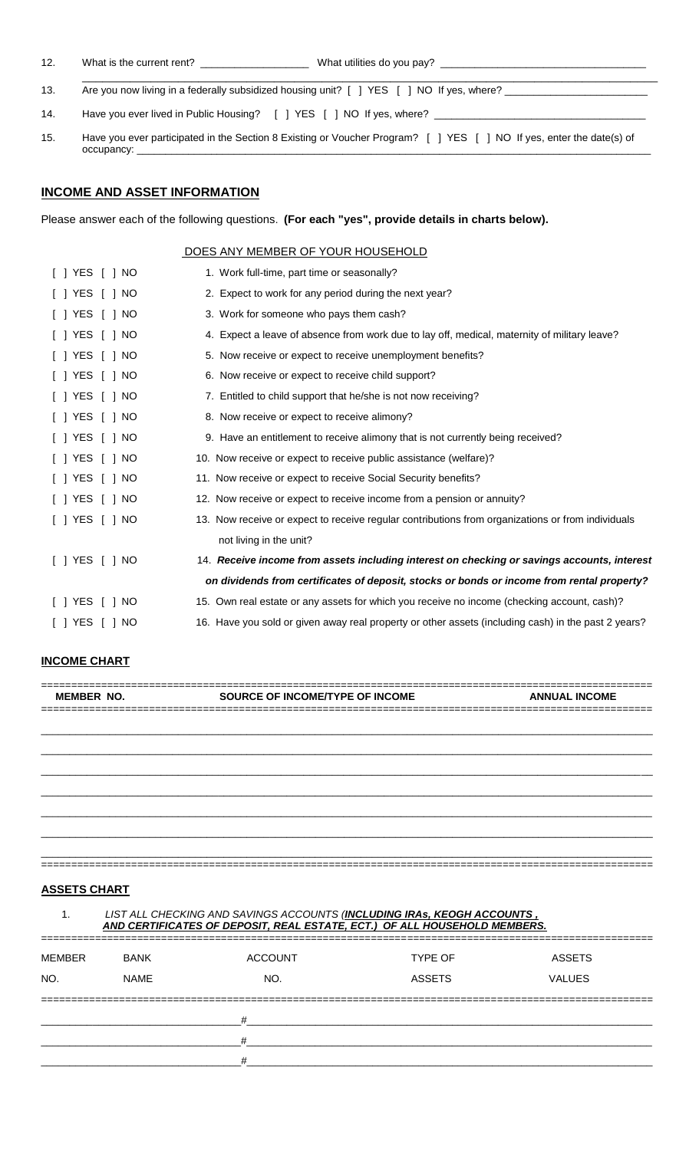12. What is the current rent? \_\_\_\_\_\_\_\_\_\_\_\_\_\_\_\_\_\_\_ What utilities do you pay? \_\_\_\_\_\_\_\_\_\_\_\_\_\_\_\_\_\_\_\_\_\_\_\_\_\_\_\_\_\_\_\_\_\_\_\_

- \_\_\_\_\_\_\_\_\_\_\_\_\_\_\_\_\_\_\_\_\_\_\_\_\_\_\_\_\_\_\_\_\_\_\_\_\_\_\_\_\_\_\_\_\_\_\_\_\_\_\_\_\_\_\_\_\_\_\_\_\_\_\_\_\_\_\_\_\_\_\_\_\_\_\_\_\_\_\_\_\_\_\_\_ 13. Are you now living in a federally subsidized housing unit? [ ] YES [ ] NO If yes, where?
- 14. Have you ever lived in Public Housing? [ ] YES [ ] NO If yes, where? \_\_\_\_
- 15. Have you ever participated in the Section 8 Existing or Voucher Program? [ ] YES [ ] NO If yes, enter the date(s) of occupancy:

## **INCOME AND ASSET INFORMATION**

Please answer each of the following questions. **(For each "yes", provide details in charts below).**

#### DOES ANY MEMBER OF YOUR HOUSEHOLD

| $[ ]$ YES $[ ]$ NO     | 1. Work full-time, part time or seasonally?                                                         |
|------------------------|-----------------------------------------------------------------------------------------------------|
| [ ] YES [ ] NO         | 2. Expect to work for any period during the next year?                                              |
| [ ] YES [ ] NO         | 3. Work for someone who pays them cash?                                                             |
| $[$ ] YES $[$ ] NO     | 4. Expect a leave of absence from work due to lay off, medical, maternity of military leave?        |
| $[ ]$ YES $[ ]$ NO     | 5. Now receive or expect to receive unemployment benefits?                                          |
| I I YES I I NO         | 6. Now receive or expect to receive child support?                                                  |
| $[ ]$ YES $[ ]$ NO     | 7. Entitled to child support that he/she is not now receiving?                                      |
| I I YES I I NO         | 8. Now receive or expect to receive alimony?                                                        |
| $[$ $]$ YES $[$ $]$ NO | 9. Have an entitlement to receive alimony that is not currently being received?                     |
| [ ] YES [ ] NO         | 10. Now receive or expect to receive public assistance (welfare)?                                   |
| I I YES I I NO         | 11. Now receive or expect to receive Social Security benefits?                                      |
| $[ ]$ YES $[ ]$ NO     | 12. Now receive or expect to receive income from a pension or annuity?                              |
| $[ ]$ YES $[ ]$ NO     | 13. Now receive or expect to receive regular contributions from organizations or from individuals   |
|                        | not living in the unit?                                                                             |
| $[ ]$ YES $[ ]$ NO     | 14. Receive income from assets including interest on checking or savings accounts, interest         |
|                        | on dividends from certificates of deposit, stocks or bonds or income from rental property?          |
| [ ] YES<br>$[$ $]$ NO  | 15. Own real estate or any assets for which you receive no income (checking account, cash)?         |
| I I YES I I NO         | 16. Have you sold or given away real property or other assets (including cash) in the past 2 years? |

## **INCOME CHART**

|                                       | <b>MEMBER NO.</b> | SOURCE OF INCOME/TYPE OF INCOME                                           |                | <b>ANNUAL INCOME</b> |
|---------------------------------------|-------------------|---------------------------------------------------------------------------|----------------|----------------------|
|                                       |                   |                                                                           |                |                      |
|                                       |                   |                                                                           |                |                      |
|                                       |                   |                                                                           |                |                      |
|                                       |                   |                                                                           |                |                      |
|                                       |                   |                                                                           |                |                      |
|                                       |                   |                                                                           |                |                      |
|                                       |                   |                                                                           |                |                      |
|                                       |                   |                                                                           |                |                      |
|                                       |                   |                                                                           |                |                      |
|                                       |                   |                                                                           |                |                      |
|                                       |                   |                                                                           |                |                      |
| <b>ASSETS CHART</b><br>$\mathbf{1}$ . |                   | LIST ALL CHECKING AND SAVINGS ACCOUNTS (INCLUDING IRAs, KEOGH ACCOUNTS,   |                |                      |
|                                       |                   | AND CERTIFICATES OF DEPOSIT, REAL ESTATE, ECT.) OF ALL HOUSEHOLD MEMBERS. |                |                      |
| <b>MEMBER</b>                         | <b>BANK</b>       | <b>ACCOUNT</b>                                                            | <b>TYPE OF</b> | <b>ASSETS</b>        |
|                                       | <b>NAME</b>       | NO.                                                                       | <b>ASSETS</b>  | <b>VALUES</b>        |
|                                       |                   |                                                                           |                |                      |
|                                       |                   | #                                                                         |                |                      |
| NO.                                   |                   | #                                                                         |                |                      |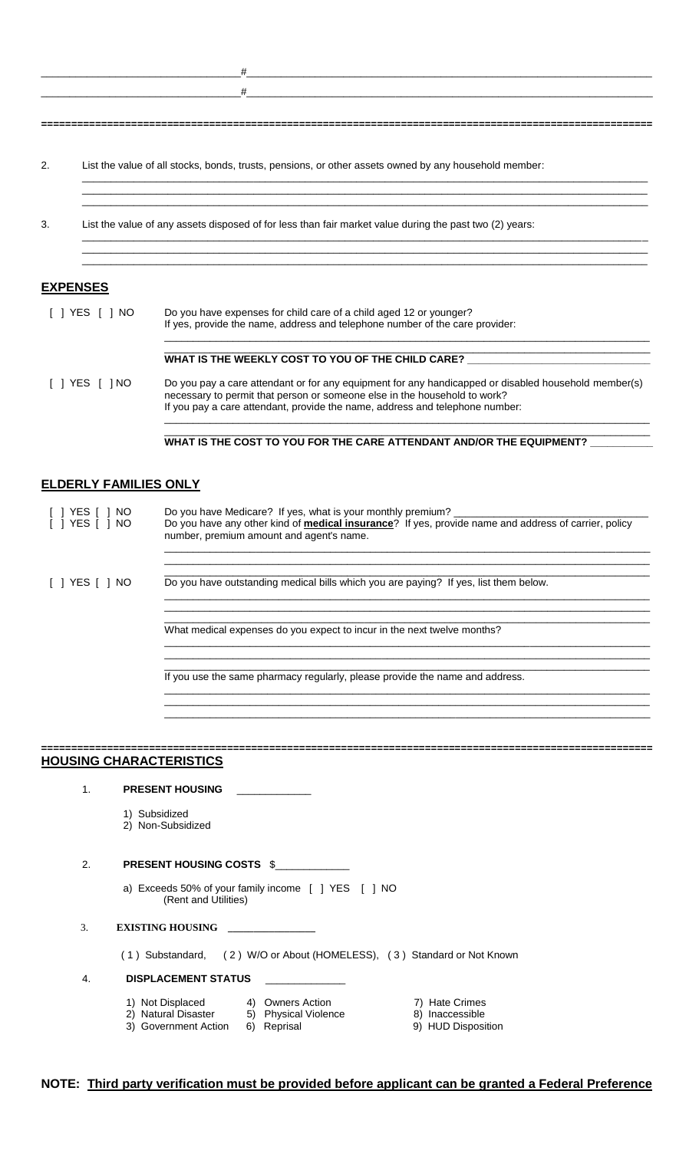$-\frac{44}$  . The contract of the contract of the contract of the contract of the contract of the contract of the contract of the contract of the contract of the contract of the contract of the contract of the contract of th

 $_+$  , and the contribution of  $_+$  , and the contribution of  $_+$  , and the contribution of  $_+$  , and the contribution of  $_+$ 

\_\_\_\_\_\_\_\_\_\_\_\_\_\_\_\_\_\_\_\_\_\_\_\_\_\_\_\_\_\_\_\_\_\_\_\_\_\_\_\_\_\_\_\_\_\_\_\_\_\_\_\_\_\_\_\_\_\_\_\_\_\_\_\_\_\_\_\_\_\_\_\_\_\_\_\_\_\_\_\_\_\_\_\_\_\_\_\_\_\_\_\_\_\_\_\_\_\_\_  $\bot$  , and the state of the state of the state of the state of the state of the state of the state of the state of the state of the state of the state of the state of the state of the state of the state of the state of th  $\bot$  , and the state of the state of the state of the state of the state of the state of the state of the state of the state of the state of the state of the state of the state of the state of the state of the state of th

\_\_\_\_\_\_\_\_\_\_\_\_\_\_\_\_\_\_\_\_\_\_\_\_\_\_\_\_\_\_\_\_\_\_\_\_\_\_\_\_\_\_\_\_\_\_\_\_\_\_\_\_\_\_\_\_\_\_\_\_\_\_\_\_\_\_\_\_\_\_\_\_\_\_\_\_\_\_\_\_\_\_\_\_\_\_\_\_\_\_\_\_\_\_\_\_\_\_\_ \_\_\_\_\_\_\_\_\_\_\_\_\_\_\_\_\_\_\_\_\_\_\_\_\_\_\_\_\_\_\_\_\_\_\_\_\_\_\_\_\_\_\_\_\_\_\_\_\_\_\_\_\_\_\_\_\_\_\_\_\_\_\_\_\_\_\_\_\_\_\_\_\_\_\_\_\_\_\_\_\_\_\_\_\_\_\_\_\_\_\_\_\_\_\_\_\_\_\_  $\bot$  , and the state of the state of the state of the state of the state of the state of the state of the state of the state of the state of the state of the state of the state of the state of the state of the state of th

**======================================================================================================**

2. List the value of all stocks, bonds, trusts, pensions, or other assets owned by any household member:

3. List the value of any assets disposed of for less than fair market value during the past two (2) years:

#### **EXPENSES**

| $\lceil$   YES $\lceil$  <br>NO. | Do you have expenses for child care of a child aged 12 or younger?<br>If yes, provide the name, address and telephone number of the care provider:                                                                                                                |  |  |
|----------------------------------|-------------------------------------------------------------------------------------------------------------------------------------------------------------------------------------------------------------------------------------------------------------------|--|--|
|                                  | WHAT IS THE WEEKLY COST TO YOU OF THE CHILD CARE?                                                                                                                                                                                                                 |  |  |
| I I YES I INO                    | Do you pay a care attendant or for any equipment for any handicapped or disabled household member(s)<br>necessary to permit that person or someone else in the household to work?<br>If you pay a care attendant, provide the name, address and telephone number: |  |  |

**WHAT IS THE COST TO YOU FOR THE CARE ATTENDANT AND/OR THE EQUIPMENT? \_\_\_\_\_\_\_\_\_\_\_**

\_\_\_\_\_\_\_\_\_\_\_\_\_\_\_\_\_\_\_\_\_\_\_\_\_\_\_\_\_\_\_\_\_\_\_\_\_\_\_\_\_\_\_\_\_\_\_\_\_\_\_\_\_\_\_\_\_\_\_\_\_\_\_\_\_\_\_\_\_\_\_\_\_\_\_\_\_\_\_\_\_\_\_\_\_ \_\_\_\_\_\_\_\_\_\_\_\_\_\_\_\_\_\_\_\_\_\_\_\_\_\_\_\_\_\_\_\_\_\_\_\_\_\_\_\_\_\_\_\_\_\_\_\_\_\_\_\_\_\_\_\_\_\_\_\_\_\_\_\_\_\_\_\_\_\_\_\_\_\_\_\_\_\_\_\_\_\_\_\_\_

\_\_\_\_\_\_\_\_\_\_\_\_\_\_\_\_\_\_\_\_\_\_\_\_\_\_\_\_\_\_\_\_\_\_\_\_\_\_\_\_\_\_\_\_\_\_\_\_\_\_\_\_\_\_\_\_\_\_\_\_\_\_\_\_\_\_\_\_\_\_\_\_\_\_\_\_\_\_\_\_\_\_\_\_\_ \_\_\_\_\_\_\_\_\_\_\_\_\_\_\_\_\_\_\_\_\_\_\_\_\_\_\_\_\_\_\_\_\_\_\_\_\_\_\_\_\_\_\_\_\_\_\_\_\_\_\_\_\_\_\_\_\_\_\_\_\_\_\_\_\_\_\_\_\_\_\_\_\_\_\_\_\_\_\_\_\_\_\_\_\_ \_\_\_\_\_\_\_\_\_\_\_\_\_\_\_\_\_\_\_\_\_\_\_\_\_\_\_\_\_\_\_\_\_\_\_\_\_\_\_\_\_\_\_\_\_\_\_\_\_\_\_\_\_\_\_\_\_\_\_\_\_\_\_\_\_\_\_\_\_\_\_\_\_\_\_\_\_\_\_\_\_\_\_\_\_

## **ELDERLY FAMILIES ONLY**

| YES [ 1 NO<br>I I YES I I NO | Do you have Medicare? If yes, what is your monthly premium?<br>Do you have any other kind of <b>medical insurance</b> ? If yes, provide name and address of carrier, policy<br>number, premium amount and agent's name. |
|------------------------------|-------------------------------------------------------------------------------------------------------------------------------------------------------------------------------------------------------------------------|
| [ ] YES [ ] NO               | Do you have outstanding medical bills which you are paying? If yes, list them below.                                                                                                                                    |
|                              | What medical expenses do you expect to incur in the next twelve months?                                                                                                                                                 |
|                              | If you use the same pharmacy regularly, please provide the name and address.                                                                                                                                            |

|                | <b>HOUSING CHARACTERISTICS</b>                                                                        |                                                                                                                           |                                                         |  |
|----------------|-------------------------------------------------------------------------------------------------------|---------------------------------------------------------------------------------------------------------------------------|---------------------------------------------------------|--|
| $\mathbf{1}$ . | <b>PRESENT HOUSING</b>                                                                                |                                                                                                                           |                                                         |  |
|                | 1) Subsidized<br>2) Non-Subsidized                                                                    |                                                                                                                           |                                                         |  |
| 2.             | <b>PRESENT HOUSING COSTS \$</b>                                                                       |                                                                                                                           |                                                         |  |
|                | (Rent and Utilities)                                                                                  | a) Exceeds 50% of your family income $\begin{bmatrix} 1 \\ 1 \end{bmatrix}$ YES $\begin{bmatrix} 1 \\ 1 \end{bmatrix}$ NO |                                                         |  |
| 3 <sub>1</sub> | <b>EXISTING HOUSING</b>                                                                               |                                                                                                                           |                                                         |  |
|                |                                                                                                       | (1) Substandard, (2) W/O or About (HOMELESS), (3) Standard or Not Known                                                   |                                                         |  |
| 4.             | <b>DISPLACEMENT STATUS</b>                                                                            |                                                                                                                           |                                                         |  |
|                | 1) Not Displaced 4) Owners Action<br>2) Natural Disaster 5) Physical Violence<br>3) Government Action | 6) Reprisal                                                                                                               | 7) Hate Crimes<br>8) Inaccessible<br>9) HUD Disposition |  |

## **NOTE: Third party verification must be provided before applicant can be granted a Federal Preference**